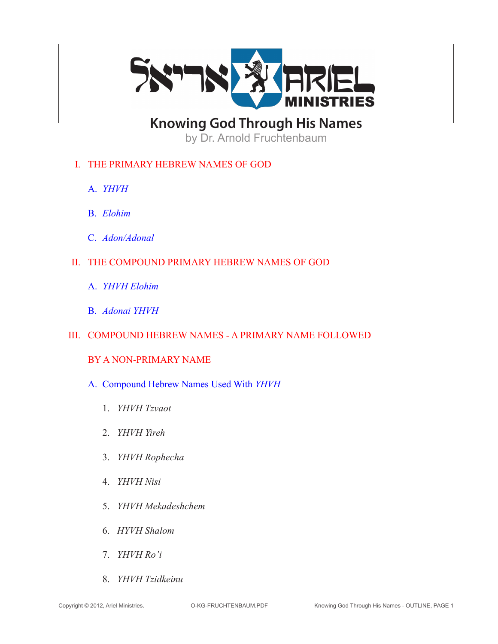

**Knowing God Through His Names**

by Dr. Arnold Fruchtenbaum

## I. THE PRIMARY HEBREW NAMES OF GOD

- A. *YHVH*
- B. *Elohim*
- C. *Adon/Adonal*
- II. THE COMPOUND PRIMARY HEBREW NAMES OF GOD
	- A. *YHVH Elohim*
	- B. *Adonai YHVH*
- III. COMPOUND HEBREW NAMES A PRIMARY NAME FOLLOWED

### BY A NON-PRIMARY NAME

- A. Compound Hebrew Names Used With *YHVH*
	- 1. *YHVH Tzvaot*
	- 2. *YHVH Yireh*
	- 3. *YHVH Rophecha*
	- 4. *YHVH Nisi*
	- 5. *YHVH Mekadeshchem*
	- 6. *HYVH Shalom*
	- 7. *YHVH Ro'i*
	- 8. *YHVH Tzidkeinu*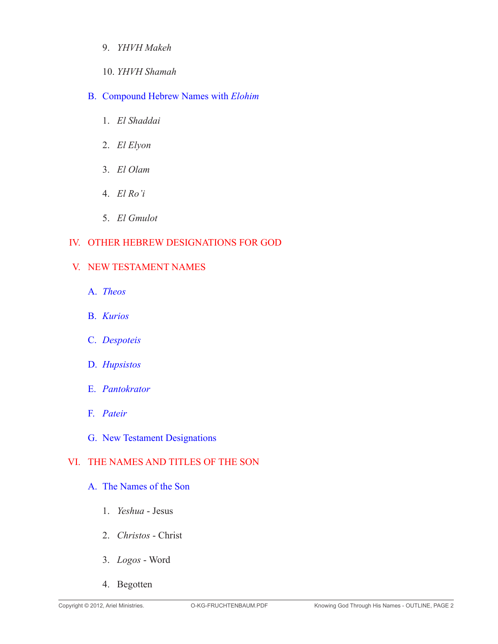- 9. *YHVH Makeh*
- 10. *YHVH Shamah*

## B. Compound Hebrew Names with *Elohim*

- 1. *El Shaddai*
- 2. *El Elyon*
- 3. *El Olam*
- 4. *El Ro'i*
- 5. *El Gmulot*

## IV. OTHER HEBREW DESIGNATIONS FOR GOD

### V. NEW TESTAMENT NAMES

- A. *Theos*
- B. *Kurios*
- C. *Despoteis*
- D. *Hupsistos*
- E. *Pantokrator*
- F. *Pateir*
- G. New Testament Designations

# VI. THE NAMES AND TITLES OF THE SON

### A. The Names of the Son

- 1. *Yeshua* Jesus
- 2. *Christos* Christ
- 3. *Logos* Word
- 4. Begotten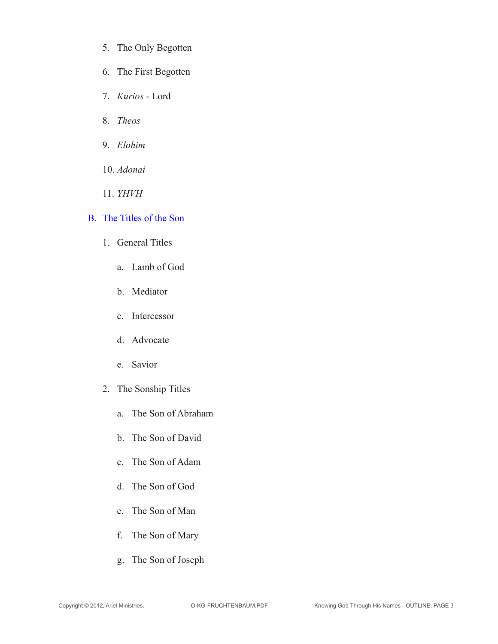- 5. The Only Begotten
- 6. The First Begotten
- 7. *Kurios* Lord
- 8. *Theos*
- 9. *Elohim*
- 10. *Adonai*
- 11. *YHVH*

## B. The Titles of the Son

- 1. General Titles
	- a. Lamb of God
	- b. Mediator
	- c. Intercessor
	- d. Advocate
	- e. Savior
- 2. The Sonship Titles
	- a. The Son of Abraham
	- b. The Son of David
	- c. The Son of Adam
	- d. The Son of God
	- e. The Son of Man
	- f. The Son of Mary
	- g. The Son of Joseph